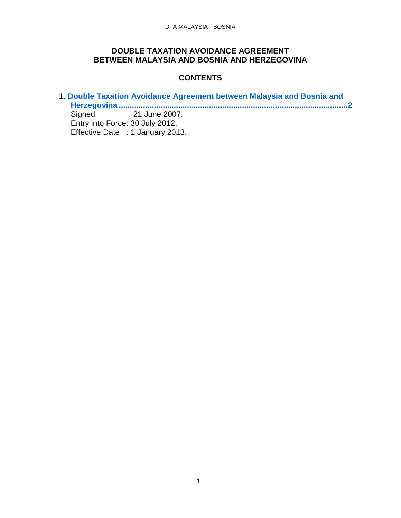#### **DOUBLE TAXATION AVOIDANCE AGREEMENT BETWEEN MALAYSIA AND BOSNIA AND HERZEGOVINA**

### **CONTENTS**

1. **[Double Taxation Avoidance Agreement between Malaysia and Bosnia and](#page-1-0) Herzegovina [........................................................................................................2](#page-1-0)**

: 21 June 2007. Entry into Force: 30 July 2012. Effective Date : 1 January 2013.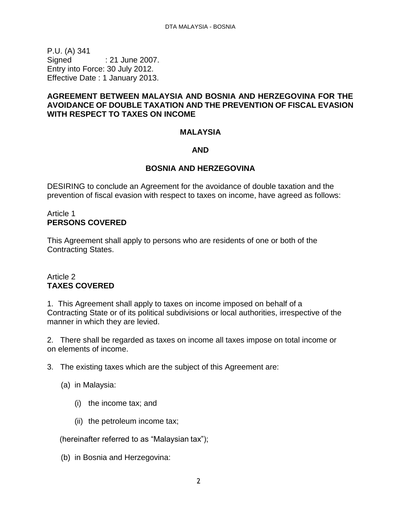<span id="page-1-0"></span>P.U. (A) 341 Signed : 21 June 2007. Entry into Force: 30 July 2012. Effective Date : 1 January 2013.

## **AGREEMENT BETWEEN MALAYSIA AND BOSNIA AND HERZEGOVINA FOR THE AVOIDANCE OF DOUBLE TAXATION AND THE PREVENTION OF FISCAL EVASION WITH RESPECT TO TAXES ON INCOME**

### **MALAYSIA**

### **AND**

## **BOSNIA AND HERZEGOVINA**

DESIRING to conclude an Agreement for the avoidance of double taxation and the prevention of fiscal evasion with respect to taxes on income, have agreed as follows:

### Article 1 **PERSONS COVERED**

This Agreement shall apply to persons who are residents of one or both of the Contracting States.

### Article 2 **TAXES COVERED**

1. This Agreement shall apply to taxes on income imposed on behalf of a Contracting State or of its political subdivisions or local authorities, irrespective of the manner in which they are levied.

2. There shall be regarded as taxes on income all taxes impose on total income or on elements of income.

- 3. The existing taxes which are the subject of this Agreement are:
	- (a) in Malaysia:
		- (i) the income tax; and
		- (ii) the petroleum income tax;

(hereinafter referred to as "Malaysian tax");

(b) in Bosnia and Herzegovina: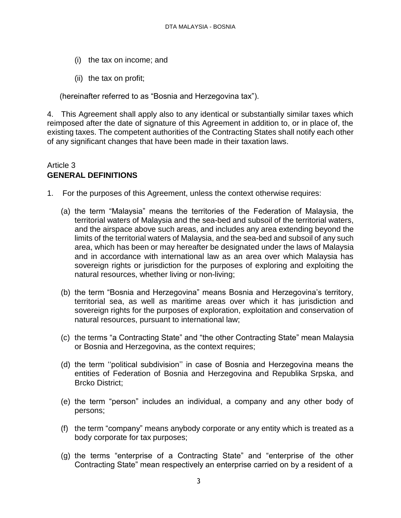- (i) the tax on income; and
- (ii) the tax on profit;

(hereinafter referred to as "Bosnia and Herzegovina tax").

4. This Agreement shall apply also to any identical or substantially similar taxes which reimposed after the date of signature of this Agreement in addition to, or in place of, the existing taxes. The competent authorities of the Contracting States shall notify each other of any significant changes that have been made in their taxation laws.

## Article 3 **GENERAL DEFINITIONS**

- 1. For the purposes of this Agreement, unless the context otherwise requires:
	- (a) the term "Malaysia" means the territories of the Federation of Malaysia, the territorial waters of Malaysia and the sea-bed and subsoil of the territorial waters, and the airspace above such areas, and includes any area extending beyond the limits of the territorial waters of Malaysia, and the sea-bed and subsoil of any such area, which has been or may hereafter be designated under the laws of Malaysia and in accordance with international law as an area over which Malaysia has sovereign rights or jurisdiction for the purposes of exploring and exploiting the natural resources, whether living or non-living;
	- (b) the term "Bosnia and Herzegovina" means Bosnia and Herzegovina's territory, territorial sea, as well as maritime areas over which it has jurisdiction and sovereign rights for the purposes of exploration, exploitation and conservation of natural resources, pursuant to international law;
	- (c) the terms "a Contracting State" and "the other Contracting State" mean Malaysia or Bosnia and Herzegovina, as the context requires;
	- (d) the term ''political subdivision'' in case of Bosnia and Herzegovina means the entities of Federation of Bosnia and Herzegovina and Republika Srpska, and Brcko District;
	- (e) the term "person" includes an individual, a company and any other body of persons;
	- (f) the term "company" means anybody corporate or any entity which is treated as a body corporate for tax purposes;
	- (g) the terms "enterprise of a Contracting State" and "enterprise of the other Contracting State" mean respectively an enterprise carried on by a resident of a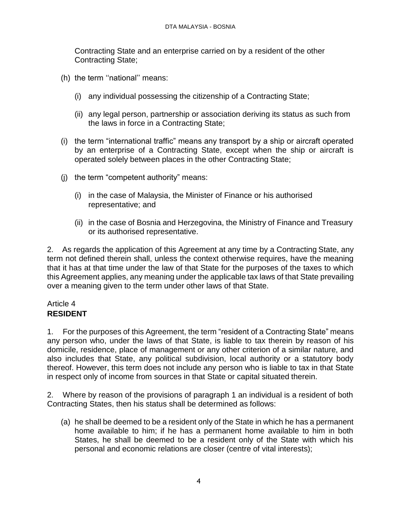Contracting State and an enterprise carried on by a resident of the other Contracting State;

- (h) the term ''national'' means:
	- (i) any individual possessing the citizenship of a Contracting State;
	- (ii) any legal person, partnership or association deriving its status as such from the laws in force in a Contracting State;
- (i) the term "international traffic" means any transport by a ship or aircraft operated by an enterprise of a Contracting State, except when the ship or aircraft is operated solely between places in the other Contracting State;
- (j) the term "competent authority" means:
	- (i) in the case of Malaysia, the Minister of Finance or his authorised representative; and
	- (ii) in the case of Bosnia and Herzegovina, the Ministry of Finance and Treasury or its authorised representative.

2. As regards the application of this Agreement at any time by a Contracting State, any term not defined therein shall, unless the context otherwise requires, have the meaning that it has at that time under the law of that State for the purposes of the taxes to which this Agreement applies, any meaning under the applicable tax laws of that State prevailing over a meaning given to the term under other laws of that State.

#### Article 4 **RESIDENT**

1. For the purposes of this Agreement, the term "resident of a Contracting State" means any person who, under the laws of that State, is liable to tax therein by reason of his domicile, residence, place of management or any other criterion of a similar nature, and also includes that State, any political subdivision, local authority or a statutory body thereof. However, this term does not include any person who is liable to tax in that State in respect only of income from sources in that State or capital situated therein.

2. Where by reason of the provisions of paragraph 1 an individual is a resident of both Contracting States, then his status shall be determined as follows:

(a) he shall be deemed to be a resident only of the State in which he has a permanent home available to him; if he has a permanent home available to him in both States, he shall be deemed to be a resident only of the State with which his personal and economic relations are closer (centre of vital interests);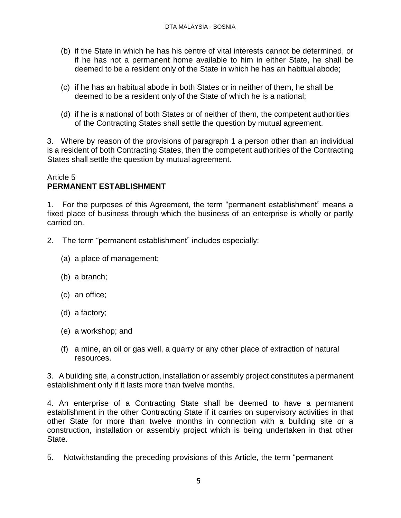- (b) if the State in which he has his centre of vital interests cannot be determined, or if he has not a permanent home available to him in either State, he shall be deemed to be a resident only of the State in which he has an habitual abode;
- (c) if he has an habitual abode in both States or in neither of them, he shall be deemed to be a resident only of the State of which he is a national;
- (d) if he is a national of both States or of neither of them, the competent authorities of the Contracting States shall settle the question by mutual agreement.

3. Where by reason of the provisions of paragraph 1 a person other than an individual is a resident of both Contracting States, then the competent authorities of the Contracting States shall settle the question by mutual agreement.

### Article 5 **PERMANENT ESTABLISHMENT**

1. For the purposes of this Agreement, the term "permanent establishment" means a fixed place of business through which the business of an enterprise is wholly or partly carried on.

- 2. The term "permanent establishment" includes especially:
	- (a) a place of management;
	- (b) a branch;
	- (c) an office;
	- (d) a factory;
	- (e) a workshop; and
	- (f) a mine, an oil or gas well, a quarry or any other place of extraction of natural resources.

3. A building site, a construction, installation or assembly project constitutes a permanent establishment only if it lasts more than twelve months.

4. An enterprise of a Contracting State shall be deemed to have a permanent establishment in the other Contracting State if it carries on supervisory activities in that other State for more than twelve months in connection with a building site or a construction, installation or assembly project which is being undertaken in that other State.

5. Notwithstanding the preceding provisions of this Article, the term "permanent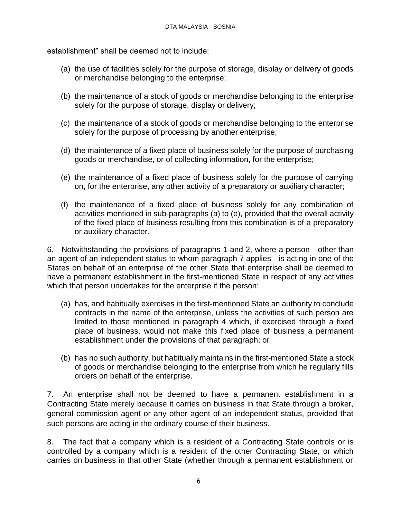establishment" shall be deemed not to include:

- (a) the use of facilities solely for the purpose of storage, display or delivery of goods or merchandise belonging to the enterprise;
- (b) the maintenance of a stock of goods or merchandise belonging to the enterprise solely for the purpose of storage, display or delivery;
- (c) the maintenance of a stock of goods or merchandise belonging to the enterprise solely for the purpose of processing by another enterprise;
- (d) the maintenance of a fixed place of business solely for the purpose of purchasing goods or merchandise, or of collecting information, for the enterprise;
- (e) the maintenance of a fixed place of business solely for the purpose of carrying on, for the enterprise, any other activity of a preparatory or auxiliary character;
- (f) the maintenance of a fixed place of business solely for any combination of activities mentioned in sub-paragraphs (a) to (e), provided that the overall activity of the fixed place of business resulting from this combination is of a preparatory or auxiliary character.

6. Notwithstanding the provisions of paragraphs 1 and 2, where a person - other than an agent of an independent status to whom paragraph 7 applies - is acting in one of the States on behalf of an enterprise of the other State that enterprise shall be deemed to have a permanent establishment in the first-mentioned State in respect of any activities which that person undertakes for the enterprise if the person:

- (a) has, and habitually exercises in the first-mentioned State an authority to conclude contracts in the name of the enterprise, unless the activities of such person are limited to those mentioned in paragraph 4 which, if exercised through a fixed place of business, would not make this fixed place of business a permanent establishment under the provisions of that paragraph; or
- (b) has no such authority, but habitually maintains in the first-mentioned State a stock of goods or merchandise belonging to the enterprise from which he regularly fills orders on behalf of the enterprise.

7. An enterprise shall not be deemed to have a permanent establishment in a Contracting State merely because it carries on business in that State through a broker, general commission agent or any other agent of an independent status, provided that such persons are acting in the ordinary course of their business.

8. The fact that a company which is a resident of a Contracting State controls or is controlled by a company which is a resident of the other Contracting State, or which carries on business in that other State (whether through a permanent establishment or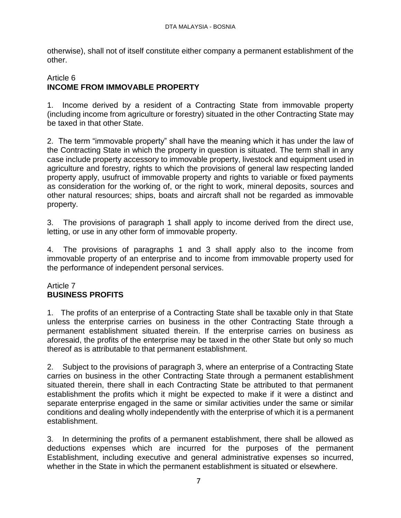otherwise), shall not of itself constitute either company a permanent establishment of the other.

### Article 6 **INCOME FROM IMMOVABLE PROPERTY**

1. Income derived by a resident of a Contracting State from immovable property (including income from agriculture or forestry) situated in the other Contracting State may be taxed in that other State.

2. The term "immovable property" shall have the meaning which it has under the law of the Contracting State in which the property in question is situated. The term shall in any case include property accessory to immovable property, livestock and equipment used in agriculture and forestry, rights to which the provisions of general law respecting landed property apply, usufruct of immovable property and rights to variable or fixed payments as consideration for the working of, or the right to work, mineral deposits, sources and other natural resources; ships, boats and aircraft shall not be regarded as immovable property.

3. The provisions of paragraph 1 shall apply to income derived from the direct use, letting, or use in any other form of immovable property.

4. The provisions of paragraphs 1 and 3 shall apply also to the income from immovable property of an enterprise and to income from immovable property used for the performance of independent personal services.

## Article 7 **BUSINESS PROFITS**

1. The profits of an enterprise of a Contracting State shall be taxable only in that State unless the enterprise carries on business in the other Contracting State through a permanent establishment situated therein. If the enterprise carries on business as aforesaid, the profits of the enterprise may be taxed in the other State but only so much thereof as is attributable to that permanent establishment.

2. Subject to the provisions of paragraph 3, where an enterprise of a Contracting State carries on business in the other Contracting State through a permanent establishment situated therein, there shall in each Contracting State be attributed to that permanent establishment the profits which it might be expected to make if it were a distinct and separate enterprise engaged in the same or similar activities under the same or similar conditions and dealing wholly independently with the enterprise of which it is a permanent establishment.

3. In determining the profits of a permanent establishment, there shall be allowed as deductions expenses which are incurred for the purposes of the permanent Establishment, including executive and general administrative expenses so incurred, whether in the State in which the permanent establishment is situated or elsewhere.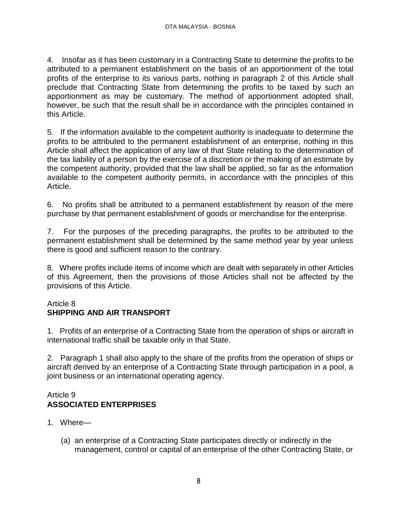4. Insofar as it has been customary in a Contracting State to determine the profits to be attributed to a permanent establishment on the basis of an apportionment of the total profits of the enterprise to its various parts, nothing in paragraph 2 of this Article shall preclude that Contracting State from determining the profits to be taxed by such an apportionment as may be customary. The method of apportionment adopted shall, however, be such that the result shall be in accordance with the principles contained in this Article.

5. If the information available to the competent authority is inadequate to determine the profits to be attributed to the permanent establishment of an enterprise, nothing in this Article shall affect the application of any law of that State relating to the determination of the tax liability of a person by the exercise of a discretion or the making of an estimate by the competent authority, provided that the law shall be applied, so far as the information available to the competent authority permits, in accordance with the principles of this Article.

6. No profits shall be attributed to a permanent establishment by reason of the mere purchase by that permanent establishment of goods or merchandise for the enterprise.

7. For the purposes of the preceding paragraphs, the profits to be attributed to the permanent establishment shall be determined by the same method year by year unless there is good and sufficient reason to the contrary.

8. Where profits include items of income which are dealt with separately in other Articles of this Agreement, then the provisions of those Articles shall not be affected by the provisions of this Article.

## Article 8

# **SHIPPING AND AIR TRANSPORT**

1. Profits of an enterprise of a Contracting State from the operation of ships or aircraft in international traffic shall be taxable only in that State.

2. Paragraph 1 shall also apply to the share of the profits from the operation of ships or aircraft derived by an enterprise of a Contracting State through participation in a pool, a joint business or an international operating agency.

## Article 9 **ASSOCIATED ENTERPRISES**

- 1. Where—
	- (a) an enterprise of a Contracting State participates directly or indirectly in the management, control or capital of an enterprise of the other Contracting State, or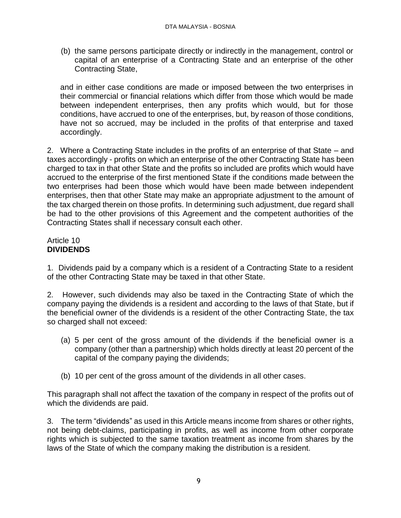(b) the same persons participate directly or indirectly in the management, control or capital of an enterprise of a Contracting State and an enterprise of the other Contracting State,

and in either case conditions are made or imposed between the two enterprises in their commercial or financial relations which differ from those which would be made between independent enterprises, then any profits which would, but for those conditions, have accrued to one of the enterprises, but, by reason of those conditions, have not so accrued, may be included in the profits of that enterprise and taxed accordingly.

2. Where a Contracting State includes in the profits of an enterprise of that State – and taxes accordingly - profits on which an enterprise of the other Contracting State has been charged to tax in that other State and the profits so included are profits which would have accrued to the enterprise of the first mentioned State if the conditions made between the two enterprises had been those which would have been made between independent enterprises, then that other State may make an appropriate adjustment to the amount of the tax charged therein on those profits. In determining such adjustment, due regard shall be had to the other provisions of this Agreement and the competent authorities of the Contracting States shall if necessary consult each other.

## Article 10 **DIVIDENDS**

1. Dividends paid by a company which is a resident of a Contracting State to a resident of the other Contracting State may be taxed in that other State.

2. However, such dividends may also be taxed in the Contracting State of which the company paying the dividends is a resident and according to the laws of that State, but if the beneficial owner of the dividends is a resident of the other Contracting State, the tax so charged shall not exceed:

- (a) 5 per cent of the gross amount of the dividends if the beneficial owner is a company (other than a partnership) which holds directly at least 20 percent of the capital of the company paying the dividends;
- (b) 10 per cent of the gross amount of the dividends in all other cases.

This paragraph shall not affect the taxation of the company in respect of the profits out of which the dividends are paid.

3. The term "dividends" as used in this Article means income from shares or other rights, not being debt-claims, participating in profits, as well as income from other corporate rights which is subjected to the same taxation treatment as income from shares by the laws of the State of which the company making the distribution is a resident.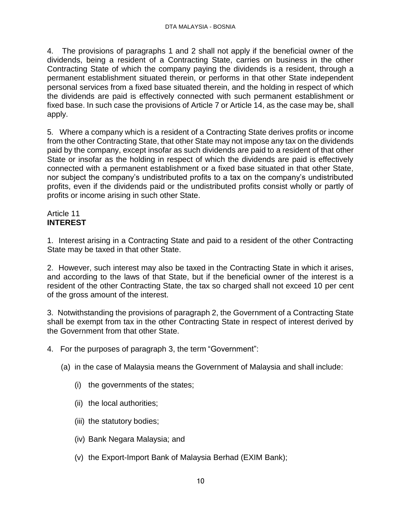4. The provisions of paragraphs 1 and 2 shall not apply if the beneficial owner of the dividends, being a resident of a Contracting State, carries on business in the other Contracting State of which the company paying the dividends is a resident, through a permanent establishment situated therein, or performs in that other State independent personal services from a fixed base situated therein, and the holding in respect of which the dividends are paid is effectively connected with such permanent establishment or fixed base. In such case the provisions of Article 7 or Article 14, as the case may be, shall apply.

5. Where a company which is a resident of a Contracting State derives profits or income from the other Contracting State, that other State may not impose any tax on the dividends paid by the company, except insofar as such dividends are paid to a resident of that other State or insofar as the holding in respect of which the dividends are paid is effectively connected with a permanent establishment or a fixed base situated in that other State, nor subject the company's undistributed profits to a tax on the company's undistributed profits, even if the dividends paid or the undistributed profits consist wholly or partly of profits or income arising in such other State.

#### Article 11 **INTEREST**

1. Interest arising in a Contracting State and paid to a resident of the other Contracting State may be taxed in that other State.

2. However, such interest may also be taxed in the Contracting State in which it arises, and according to the laws of that State, but if the beneficial owner of the interest is a resident of the other Contracting State, the tax so charged shall not exceed 10 per cent of the gross amount of the interest.

3. Notwithstanding the provisions of paragraph 2, the Government of a Contracting State shall be exempt from tax in the other Contracting State in respect of interest derived by the Government from that other State.

- 4. For the purposes of paragraph 3, the term "Government":
	- (a) in the case of Malaysia means the Government of Malaysia and shall include:
		- (i) the governments of the states;
		- (ii) the local authorities;
		- (iii) the statutory bodies;
		- (iv) Bank Negara Malaysia; and
		- (v) the Export-Import Bank of Malaysia Berhad (EXIM Bank);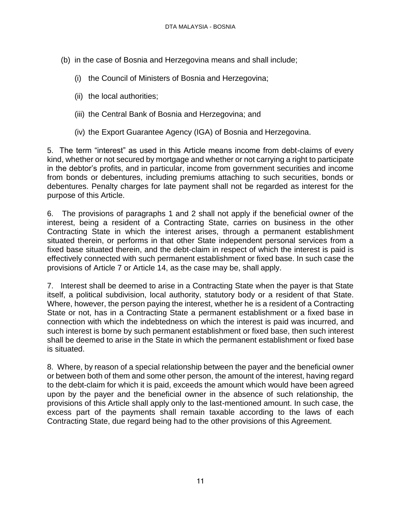- (b) in the case of Bosnia and Herzegovina means and shall include;
	- (i) the Council of Ministers of Bosnia and Herzegovina;
	- (ii) the local authorities;
	- (iii) the Central Bank of Bosnia and Herzegovina; and
	- (iv) the Export Guarantee Agency (IGA) of Bosnia and Herzegovina.

5. The term "interest" as used in this Article means income from debt-claims of every kind, whether or not secured by mortgage and whether or not carrying a right to participate in the debtor's profits, and in particular, income from government securities and income from bonds or debentures, including premiums attaching to such securities, bonds or debentures. Penalty charges for late payment shall not be regarded as interest for the purpose of this Article.

6. The provisions of paragraphs 1 and 2 shall not apply if the beneficial owner of the interest, being a resident of a Contracting State, carries on business in the other Contracting State in which the interest arises, through a permanent establishment situated therein, or performs in that other State independent personal services from a fixed base situated therein, and the debt-claim in respect of which the interest is paid is effectively connected with such permanent establishment or fixed base. In such case the provisions of Article 7 or Article 14, as the case may be, shall apply.

7. Interest shall be deemed to arise in a Contracting State when the payer is that State itself, a political subdivision, local authority, statutory body or a resident of that State. Where, however, the person paying the interest, whether he is a resident of a Contracting State or not, has in a Contracting State a permanent establishment or a fixed base in connection with which the indebtedness on which the interest is paid was incurred, and such interest is borne by such permanent establishment or fixed base, then such interest shall be deemed to arise in the State in which the permanent establishment or fixed base is situated.

8. Where, by reason of a special relationship between the payer and the beneficial owner or between both of them and some other person, the amount of the interest, having regard to the debt-claim for which it is paid, exceeds the amount which would have been agreed upon by the payer and the beneficial owner in the absence of such relationship, the provisions of this Article shall apply only to the last-mentioned amount. In such case, the excess part of the payments shall remain taxable according to the laws of each Contracting State, due regard being had to the other provisions of this Agreement.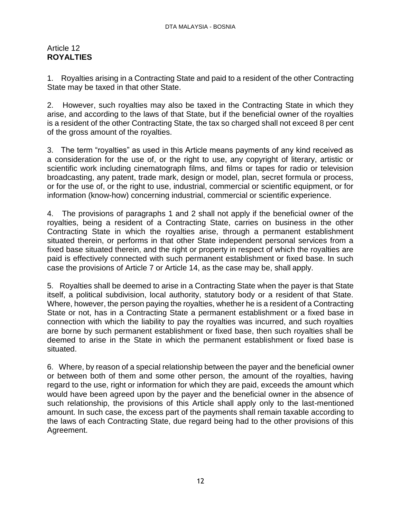### Article 12 **ROYALTIES**

1. Royalties arising in a Contracting State and paid to a resident of the other Contracting State may be taxed in that other State.

2. However, such royalties may also be taxed in the Contracting State in which they arise, and according to the laws of that State, but if the beneficial owner of the royalties is a resident of the other Contracting State, the tax so charged shall not exceed 8 per cent of the gross amount of the royalties.

3. The term "royalties" as used in this Article means payments of any kind received as a consideration for the use of, or the right to use, any copyright of literary, artistic or scientific work including cinematograph films, and films or tapes for radio or television broadcasting, any patent, trade mark, design or model, plan, secret formula or process, or for the use of, or the right to use, industrial, commercial or scientific equipment, or for information (know-how) concerning industrial, commercial or scientific experience.

4. The provisions of paragraphs 1 and 2 shall not apply if the beneficial owner of the royalties, being a resident of a Contracting State, carries on business in the other Contracting State in which the royalties arise, through a permanent establishment situated therein, or performs in that other State independent personal services from a fixed base situated therein, and the right or property in respect of which the royalties are paid is effectively connected with such permanent establishment or fixed base. In such case the provisions of Article 7 or Article 14, as the case may be, shall apply.

5. Royalties shall be deemed to arise in a Contracting State when the payer is that State itself, a political subdivision, local authority, statutory body or a resident of that State. Where, however, the person paying the royalties, whether he is a resident of a Contracting State or not, has in a Contracting State a permanent establishment or a fixed base in connection with which the liability to pay the royalties was incurred, and such royalties are borne by such permanent establishment or fixed base, then such royalties shall be deemed to arise in the State in which the permanent establishment or fixed base is situated.

6. Where, by reason of a special relationship between the payer and the beneficial owner or between both of them and some other person, the amount of the royalties, having regard to the use, right or information for which they are paid, exceeds the amount which would have been agreed upon by the payer and the beneficial owner in the absence of such relationship, the provisions of this Article shall apply only to the last-mentioned amount. In such case, the excess part of the payments shall remain taxable according to the laws of each Contracting State, due regard being had to the other provisions of this Agreement.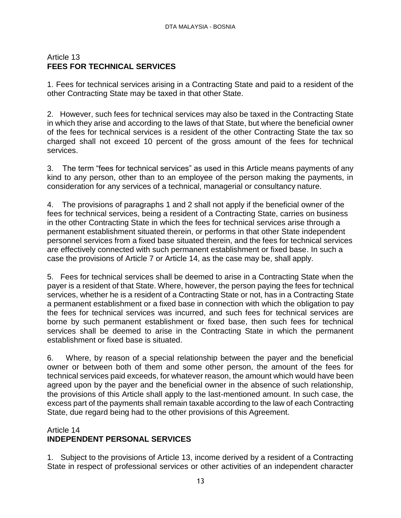## Article 13 **FEES FOR TECHNICAL SERVICES**

1. Fees for technical services arising in a Contracting State and paid to a resident of the other Contracting State may be taxed in that other State.

2. However, such fees for technical services may also be taxed in the Contracting State in which they arise and according to the laws of that State, but where the beneficial owner of the fees for technical services is a resident of the other Contracting State the tax so charged shall not exceed 10 percent of the gross amount of the fees for technical services.

3. The term "fees for technical services" as used in this Article means payments of any kind to any person, other than to an employee of the person making the payments, in consideration for any services of a technical, managerial or consultancy nature.

4. The provisions of paragraphs 1 and 2 shall not apply if the beneficial owner of the fees for technical services, being a resident of a Contracting State, carries on business in the other Contracting State in which the fees for technical services arise through a permanent establishment situated therein, or performs in that other State independent personnel services from a fixed base situated therein, and the fees for technical services are effectively connected with such permanent establishment or fixed base. In such a case the provisions of Article 7 or Article 14, as the case may be, shall apply.

5. Fees for technical services shall be deemed to arise in a Contracting State when the payer is a resident of that State. Where, however, the person paying the fees for technical services, whether he is a resident of a Contracting State or not, has in a Contracting State a permanent establishment or a fixed base in connection with which the obligation to pay the fees for technical services was incurred, and such fees for technical services are borne by such permanent establishment or fixed base, then such fees for technical services shall be deemed to arise in the Contracting State in which the permanent establishment or fixed base is situated.

6. Where, by reason of a special relationship between the payer and the beneficial owner or between both of them and some other person, the amount of the fees for technical services paid exceeds, for whatever reason, the amount which would have been agreed upon by the payer and the beneficial owner in the absence of such relationship, the provisions of this Article shall apply to the last-mentioned amount. In such case, the excess part of the payments shall remain taxable according to the law of each Contracting State, due regard being had to the other provisions of this Agreement.

# Article 14

# **INDEPENDENT PERSONAL SERVICES**

1. Subject to the provisions of Article 13, income derived by a resident of a Contracting State in respect of professional services or other activities of an independent character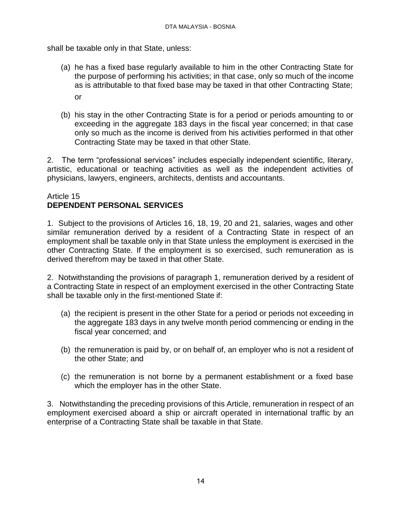shall be taxable only in that State, unless:

- (a) he has a fixed base regularly available to him in the other Contracting State for the purpose of performing his activities; in that case, only so much of the income as is attributable to that fixed base may be taxed in that other Contracting State; or
- (b) his stay in the other Contracting State is for a period or periods amounting to or exceeding in the aggregate 183 days in the fiscal year concerned; in that case only so much as the income is derived from his activities performed in that other Contracting State may be taxed in that other State.

2. The term "professional services" includes especially independent scientific, literary, artistic, educational or teaching activities as well as the independent activities of physicians, lawyers, engineers, architects, dentists and accountants.

### Article 15 **DEPENDENT PERSONAL SERVICES**

1. Subject to the provisions of Articles 16, 18, 19, 20 and 21, salaries, wages and other similar remuneration derived by a resident of a Contracting State in respect of an employment shall be taxable only in that State unless the employment is exercised in the other Contracting State. If the employment is so exercised, such remuneration as is derived therefrom may be taxed in that other State.

2. Notwithstanding the provisions of paragraph 1, remuneration derived by a resident of a Contracting State in respect of an employment exercised in the other Contracting State shall be taxable only in the first-mentioned State if:

- (a) the recipient is present in the other State for a period or periods not exceeding in the aggregate 183 days in any twelve month period commencing or ending in the fiscal year concerned; and
- (b) the remuneration is paid by, or on behalf of, an employer who is not a resident of the other State; and
- (c) the remuneration is not borne by a permanent establishment or a fixed base which the employer has in the other State.

3. Notwithstanding the preceding provisions of this Article, remuneration in respect of an employment exercised aboard a ship or aircraft operated in international traffic by an enterprise of a Contracting State shall be taxable in that State.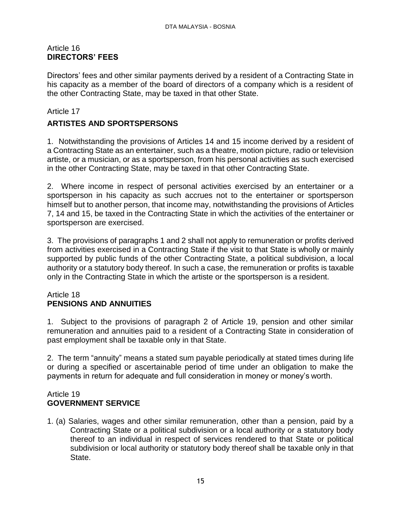### Article 16 **DIRECTORS' FEES**

Directors' fees and other similar payments derived by a resident of a Contracting State in his capacity as a member of the board of directors of a company which is a resident of the other Contracting State, may be taxed in that other State.

## Article 17

## **ARTISTES AND SPORTSPERSONS**

1. Notwithstanding the provisions of Articles 14 and 15 income derived by a resident of a Contracting State as an entertainer, such as a theatre, motion picture, radio or television artiste, or a musician, or as a sportsperson, from his personal activities as such exercised in the other Contracting State, may be taxed in that other Contracting State.

2. Where income in respect of personal activities exercised by an entertainer or a sportsperson in his capacity as such accrues not to the entertainer or sportsperson himself but to another person, that income may, notwithstanding the provisions of Articles 7, 14 and 15, be taxed in the Contracting State in which the activities of the entertainer or sportsperson are exercised.

3. The provisions of paragraphs 1 and 2 shall not apply to remuneration or profits derived from activities exercised in a Contracting State if the visit to that State is wholly or mainly supported by public funds of the other Contracting State, a political subdivision, a local authority or a statutory body thereof. In such a case, the remuneration or profits is taxable only in the Contracting State in which the artiste or the sportsperson is a resident.

## Article 18 **PENSIONS AND ANNUITIES**

1. Subject to the provisions of paragraph 2 of Article 19, pension and other similar remuneration and annuities paid to a resident of a Contracting State in consideration of past employment shall be taxable only in that State.

2. The term "annuity" means a stated sum payable periodically at stated times during life or during a specified or ascertainable period of time under an obligation to make the payments in return for adequate and full consideration in money or money's worth.

### Article 19 **GOVERNMENT SERVICE**

1. (a) Salaries, wages and other similar remuneration, other than a pension, paid by a Contracting State or a political subdivision or a local authority or a statutory body thereof to an individual in respect of services rendered to that State or political subdivision or local authority or statutory body thereof shall be taxable only in that State.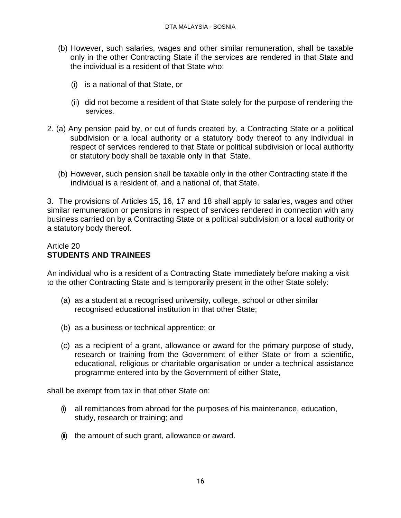- (b) However, such salaries, wages and other similar remuneration, shall be taxable only in the other Contracting State if the services are rendered in that State and the individual is a resident of that State who:
	- (i) is a national of that State, or
	- (ii) did not become a resident of that State solely for the purpose of rendering the services.
- 2. (a) Any pension paid by, or out of funds created by, a Contracting State or a political subdivision or a local authority or a statutory body thereof to any individual in respect of services rendered to that State or political subdivision or local authority or statutory body shall be taxable only in that State.
	- (b) However, such pension shall be taxable only in the other Contracting state if the individual is a resident of, and a national of, that State.

3. The provisions of Articles 15, 16, 17 and 18 shall apply to salaries, wages and other similar remuneration or pensions in respect of services rendered in connection with any business carried on by a Contracting State or a political subdivision or a local authority or a statutory body thereof.

## Article 20 **STUDENTS AND TRAINEES**

An individual who is a resident of a Contracting State immediately before making a visit to the other Contracting State and is temporarily present in the other State solely:

- (a) as a student at a recognised university, college, school or other similar recognised educational institution in that other State;
- (b) as a business or technical apprentice; or
- (c) as a recipient of a grant, allowance or award for the primary purpose of study, research or training from the Government of either State or from a scientific, educational, religious or charitable organisation or under a technical assistance programme entered into by the Government of either State,

shall be exempt from tax in that other State on:

- (i) all remittances from abroad for the purposes of his maintenance, education, study, research or training; and
- (ii) the amount of such grant, allowance or award.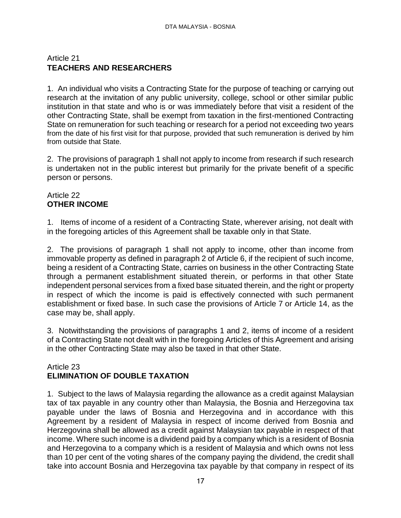# Article 21 **TEACHERS AND RESEARCHERS**

1. An individual who visits a Contracting State for the purpose of teaching or carrying out research at the invitation of any public university, college, school or other similar public institution in that state and who is or was immediately before that visit a resident of the other Contracting State, shall be exempt from taxation in the first-mentioned Contracting State on remuneration for such teaching or research for a period not exceeding two years from the date of his first visit for that purpose, provided that such remuneration is derived by him from outside that State.

2. The provisions of paragraph 1 shall not apply to income from research if such research is undertaken not in the public interest but primarily for the private benefit of a specific person or persons.

### Article 22 **OTHER INCOME**

1. Items of income of a resident of a Contracting State, wherever arising, not dealt with in the foregoing articles of this Agreement shall be taxable only in that State.

2. The provisions of paragraph 1 shall not apply to income, other than income from immovable property as defined in paragraph 2 of Article 6, if the recipient of such income, being a resident of a Contracting State, carries on business in the other Contracting State through a permanent establishment situated therein, or performs in that other State independent personal services from a fixed base situated therein, and the right or property in respect of which the income is paid is effectively connected with such permanent establishment or fixed base. In such case the provisions of Article 7 or Article 14, as the case may be, shall apply.

3. Notwithstanding the provisions of paragraphs 1 and 2, items of income of a resident of a Contracting State not dealt with in the foregoing Articles of this Agreement and arising in the other Contracting State may also be taxed in that other State.

### Article 23 **ELIMINATION OF DOUBLE TAXATION**

1. Subject to the laws of Malaysia regarding the allowance as a credit against Malaysian tax of tax payable in any country other than Malaysia, the Bosnia and Herzegovina tax payable under the laws of Bosnia and Herzegovina and in accordance with this Agreement by a resident of Malaysia in respect of income derived from Bosnia and Herzegovina shall be allowed as a credit against Malaysian tax payable in respect of that income. Where such income is a dividend paid by a company which is a resident of Bosnia and Herzegovina to a company which is a resident of Malaysia and which owns not less than 10 per cent of the voting shares of the company paying the dividend, the credit shall take into account Bosnia and Herzegovina tax payable by that company in respect of its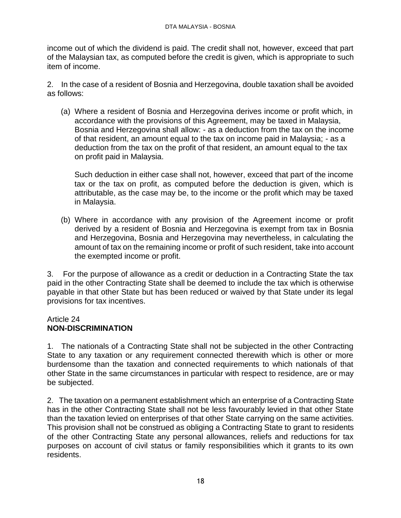income out of which the dividend is paid. The credit shall not, however, exceed that part of the Malaysian tax, as computed before the credit is given, which is appropriate to such item of income.

2. In the case of a resident of Bosnia and Herzegovina, double taxation shall be avoided as follows:

(a) Where a resident of Bosnia and Herzegovina derives income or profit which, in accordance with the provisions of this Agreement, may be taxed in Malaysia, Bosnia and Herzegovina shall allow: - as a deduction from the tax on the income of that resident, an amount equal to the tax on income paid in Malaysia; - as a deduction from the tax on the profit of that resident, an amount equal to the tax on profit paid in Malaysia.

Such deduction in either case shall not, however, exceed that part of the income tax or the tax on profit, as computed before the deduction is given, which is attributable, as the case may be, to the income or the profit which may be taxed in Malaysia.

(b) Where in accordance with any provision of the Agreement income or profit derived by a resident of Bosnia and Herzegovina is exempt from tax in Bosnia and Herzegovina, Bosnia and Herzegovina may nevertheless, in calculating the amount of tax on the remaining income or profit of such resident, take into account the exempted income or profit.

3. For the purpose of allowance as a credit or deduction in a Contracting State the tax paid in the other Contracting State shall be deemed to include the tax which is otherwise payable in that other State but has been reduced or waived by that State under its legal provisions for tax incentives.

### Article 24 **NON-DISCRIMINATION**

1. The nationals of a Contracting State shall not be subjected in the other Contracting State to any taxation or any requirement connected therewith which is other or more burdensome than the taxation and connected requirements to which nationals of that other State in the same circumstances in particular with respect to residence, are or may be subjected.

2. The taxation on a permanent establishment which an enterprise of a Contracting State has in the other Contracting State shall not be less favourably levied in that other State than the taxation levied on enterprises of that other State carrying on the same activities. This provision shall not be construed as obliging a Contracting State to grant to residents of the other Contracting State any personal allowances, reliefs and reductions for tax purposes on account of civil status or family responsibilities which it grants to its own residents.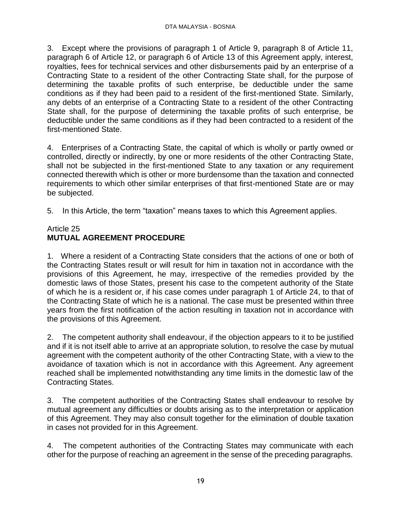3. Except where the provisions of paragraph 1 of Article 9, paragraph 8 of Article 11, paragraph 6 of Article 12, or paragraph 6 of Article 13 of this Agreement apply, interest, royalties, fees for technical services and other disbursements paid by an enterprise of a Contracting State to a resident of the other Contracting State shall, for the purpose of determining the taxable profits of such enterprise, be deductible under the same conditions as if they had been paid to a resident of the first-mentioned State. Similarly, any debts of an enterprise of a Contracting State to a resident of the other Contracting State shall, for the purpose of determining the taxable profits of such enterprise, be deductible under the same conditions as if they had been contracted to a resident of the first-mentioned State.

4. Enterprises of a Contracting State, the capital of which is wholly or partly owned or controlled, directly or indirectly, by one or more residents of the other Contracting State, shall not be subjected in the first-mentioned State to any taxation or any requirement connected therewith which is other or more burdensome than the taxation and connected requirements to which other similar enterprises of that first-mentioned State are or may be subjected.

5. In this Article, the term "taxation" means taxes to which this Agreement applies.

### Article 25 **MUTUAL AGREEMENT PROCEDURE**

1. Where a resident of a Contracting State considers that the actions of one or both of the Contracting States result or will result for him in taxation not in accordance with the provisions of this Agreement, he may, irrespective of the remedies provided by the domestic laws of those States, present his case to the competent authority of the State of which he is a resident or, if his case comes under paragraph 1 of Article 24, to that of the Contracting State of which he is a national. The case must be presented within three years from the first notification of the action resulting in taxation not in accordance with the provisions of this Agreement.

2. The competent authority shall endeavour, if the objection appears to it to be justified and if it is not itself able to arrive at an appropriate solution, to resolve the case by mutual agreement with the competent authority of the other Contracting State, with a view to the avoidance of taxation which is not in accordance with this Agreement. Any agreement reached shall be implemented notwithstanding any time limits in the domestic law of the Contracting States.

3. The competent authorities of the Contracting States shall endeavour to resolve by mutual agreement any difficulties or doubts arising as to the interpretation or application of this Agreement. They may also consult together for the elimination of double taxation in cases not provided for in this Agreement.

4. The competent authorities of the Contracting States may communicate with each other for the purpose of reaching an agreement in the sense of the preceding paragraphs.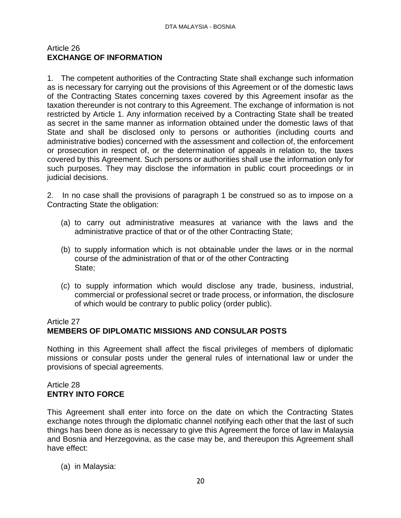### Article 26 **EXCHANGE OF INFORMATION**

1. The competent authorities of the Contracting State shall exchange such information as is necessary for carrying out the provisions of this Agreement or of the domestic laws of the Contracting States concerning taxes covered by this Agreement insofar as the taxation thereunder is not contrary to this Agreement. The exchange of information is not restricted by Article 1. Any information received by a Contracting State shall be treated as secret in the same manner as information obtained under the domestic laws of that State and shall be disclosed only to persons or authorities (including courts and administrative bodies) concerned with the assessment and collection of, the enforcement or prosecution in respect of, or the determination of appeals in relation to, the taxes covered by this Agreement. Such persons or authorities shall use the information only for such purposes. They may disclose the information in public court proceedings or in judicial decisions.

2. In no case shall the provisions of paragraph 1 be construed so as to impose on a Contracting State the obligation:

- (a) to carry out administrative measures at variance with the laws and the administrative practice of that or of the other Contracting State;
- (b) to supply information which is not obtainable under the laws or in the normal course of the administration of that or of the other Contracting State:
- (c) to supply information which would disclose any trade, business, industrial, commercial or professional secret or trade process, or information, the disclosure of which would be contrary to public policy (order public).

## Article 27

## **MEMBERS OF DIPLOMATIC MISSIONS AND CONSULAR POSTS**

Nothing in this Agreement shall affect the fiscal privileges of members of diplomatic missions or consular posts under the general rules of international law or under the provisions of special agreements.

#### Article 28 **ENTRY INTO FORCE**

This Agreement shall enter into force on the date on which the Contracting States exchange notes through the diplomatic channel notifying each other that the last of such things has been done as is necessary to give this Agreement the force of law in Malaysia and Bosnia and Herzegovina, as the case may be, and thereupon this Agreement shall have effect:

(a) in Malaysia: